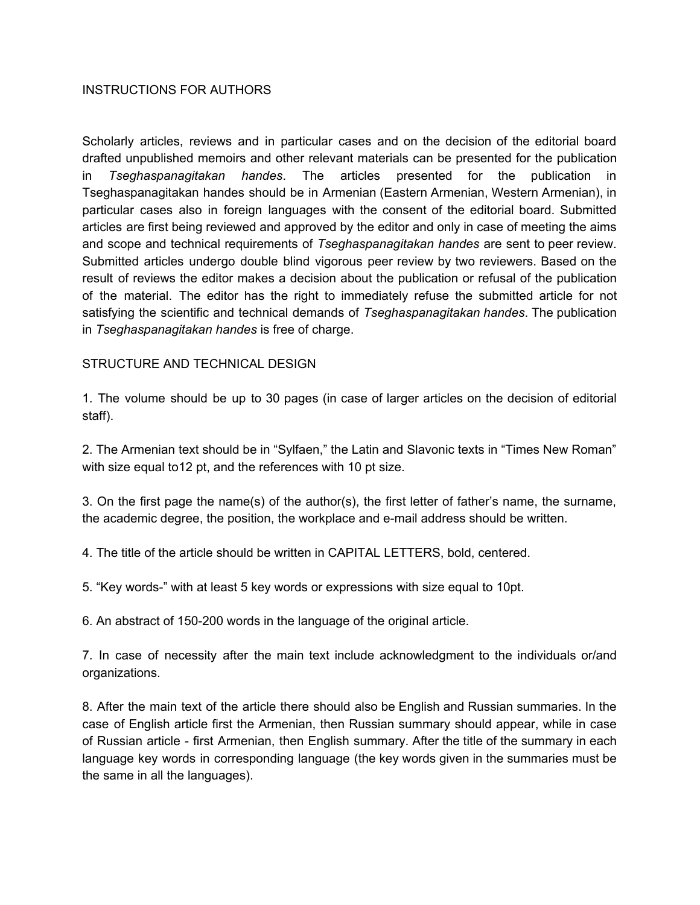## INSTRUCTIONS FOR AUTHORS

Scholarly articles, reviews and in particular cases and on the decision of the editorial board drafted unpublished memoirs and other relevant materials can be presented for the publication in *Tseghaspanagitakan handes*. The articles presented for the publication in Tseghaspanagitakan handes should be in Armenian (Eastern Armenian, Western Armenian), in particular cases also in foreign languages with the consent of the editorial board. Submitted articles are first being reviewed and approved by the editor and only in case of meeting the aims and scope and technical requirements of *Tseghaspanagitakan handes* are sent to peer review. Submitted articles undergo double blind vigorous peer review by two reviewers. Based on the result of reviews the editor makes a decision about the publication or refusal of the publication of the material. The editor has the right to immediately refuse the submitted article for not satisfying the scientific and technical demands of *Tseghaspanagitakan handes*. The publication in *Tseghaspanagitakan handes* is free of charge.

## STRUCTURE AND TECHNICAL DESIGN

1. The volume should be up to 30 pages (in case of larger articles on the decision of editorial staff).

2. The Armenian text should be in "Sylfaen," the Latin and Slavonic texts in "Times New Roman" with size equal to12 pt, and the references with 10 pt size.

3. On the first page the name(s) of the author(s), the first letter of father's name, the surname, the academic degree, the position, the workplace and e-mail address should be written.

4. The title of the article should be written in CAPITAL LETTERS, bold, centered.

5. "Key words-" with at least 5 key words or expressions with size equal to 10pt.

6. An abstract of 150-200 words in the language of the original article.

7. In case of necessity after the main text include acknowledgment to the individuals or/and organizations.

8. After the main text of the article there should also be English and Russian summaries. In the case of English article first the Armenian, then Russian summary should appear, while in case of Russian article - first Armenian, then English summary. After the title of the summary in each language key words in corresponding language (the key words given in the summaries must be the same in all the languages).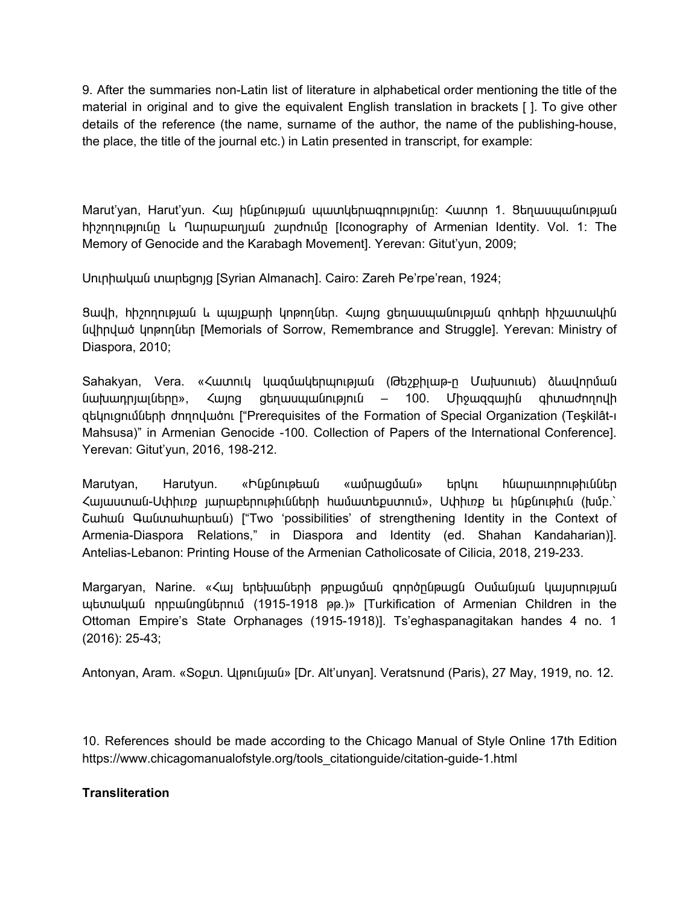9. After the summaries non-Latin list of literature in alphabetical order mentioning the title of the material in original and to give the equivalent English translation in brackets [ ]. To give other details of the reference (the name, surname of the author, the name of the publishing-house, the place, the title of the journal etc.) in Latin presented in transcript, for example:

Marut'yan, Harut'yun. Հայ ինքնության պատկերագրությունը։ Հատոր 1. Ցեղասպանության հիշողությունը և Ղարաբաղյան շարժումը [Iconography of Armenian Identity. Vol. 1: The Memory of Genocide and the Karabagh Movement]. Yerevan: Gitut'yun, 2009;

Սուրիական տարեցոյց [Syrian Almanach]. Cairo: Zareh Pe'rpe'rean, 1924;

Ցավի, հիշողության և պայքարի կոթողներ. Հայոց ցեղասպանության զոհերի հիշատակին նվիրված կոթողներ [Memorials of Sorrow, Remembrance and Struggle]. Yerevan: Ministry of Diaspora, 2010;

Sahakyan, Vera. «Հատուկ կազմակերպության (Թեշքիլաթ-ը Մախսուսե) ձևավորման նախադրյալները», Հայոց ցեղասպանություն – 100. Միջազգային գիտաժողովի զեկուցումների ժողովածու ["Prerequisites of the Formation of Special Organization (Teşkilât-ı Mahsusa)" in Armenian Genocide -100. Collection of Papers of the International Conference]. Yerevan: Gitut'yun, 2016, 198-212.

Marutyan, Harutyun. «Ինքնութեան «ամրացման» երկու հնարաւորութիւններ Հայաստան-Սփիւռք յարաբերութիւնների համատեքստում», Սփիւռք եւ ինքնութիւն (խմբ.՝ Շահան Գանտահարեան) ["Two 'possibilities' of strengthening Identity in the Context of Armenia-Diaspora Relations," in Diaspora and Identity (ed. Shahan Kandaharian)]. Antelias-Lebanon: Printing House of the Armenian Catholicosate of Cilicia, 2018, 219-233.

Margaryan, Narine. «Հայ երեխաների թրքացման գործընթացն Օսմանյան կայսրության պետական որբանոցներում (1915-1918 թթ.)» [Turkification of Armenian Children in the Ottoman Empire's State Orphanages (1915-1918)]. Ts'eghaspanagitakan handes 4 no. 1 (2016): 25-43;

Antonyan, Aram. «Տօքտ. Ալթունյան» [Dr. Alt'unyan]. Veratsnund (Paris), 27 May, 1919, no. 12.

10. References should be made according to the Chicago Manual of Style Online 17th Edition https://www.chicagomanualofstyle.org/tools\_citationguide/citation-guide-1.html

## **Transliteration**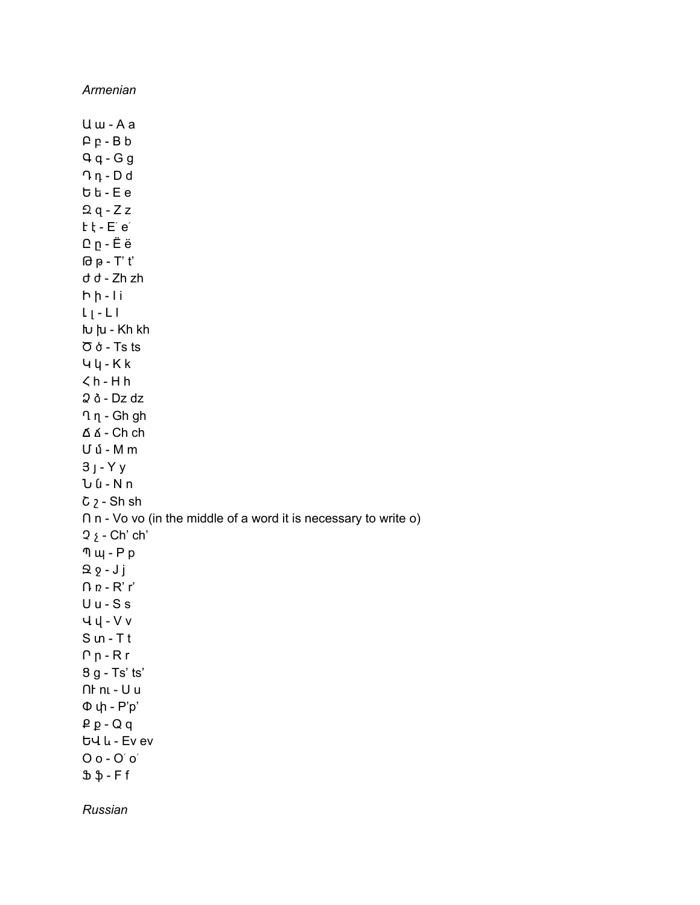Armenian

 $U$   $w - A$   $a$  $P_P - B b$  $Qq - Gg$  $\bigcap$   $\eta$  -  $D$  d  $b\bar{b}$  - Ee  $2q - Zz$  $t$   $t$  -  $E'$   $e'$  $Q_p - \ddot{E} \ddot{e}$  $\theta$   $\theta$  - T' t' d d - Zh zh  $h h - li$  $L_{\parallel}$  -  $L_{\parallel}$ **lu** <sub>→</sub> Kh kh  $\sigma$  & - Ts ts  $44 - Kk$  $\zeta$  h - H h  $2 \delta$  - Dz dz  $\P$   $\eta$  - Gh gh Δ Δ - Ch ch  $U$  մ - M m  $3 - Yy$  $U$   $U - N n$  $C_2$  - Sh sh  $\cap$  n - Vo vo (in the middle of a word it is necessary to write o)  $2 \xi$  - Ch' ch'  $\n <sup>n</sup>$   $\mu$  -  $P$   $p$  $Q - Jj$  $n - R' r'$  $U u - S s$  $44 - Vv$  $S$  un -  $T$  t  $Pp - Rr$ 8 g - Ts' ts'  $\cap$  hu - U u Φψ - P'p'  $P P - Q q$ ԵՎ և - Ev ev  $O$   $o$  -  $O'$   $o'$  $\mathfrak{B} \mathfrak{p}$  - Ff Russian